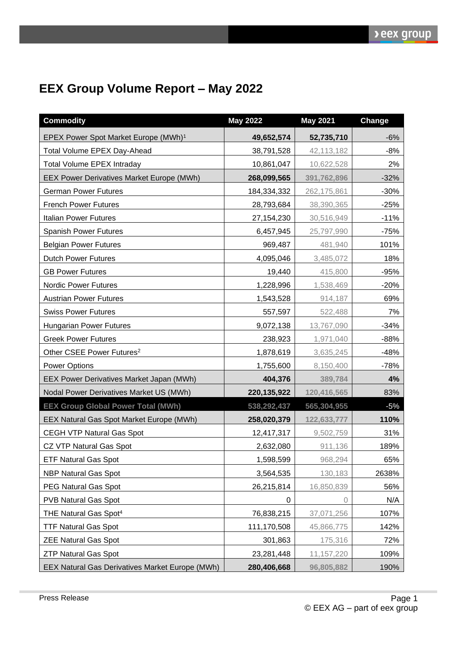## **EEX Group Volume Report – May 2022**

| <b>Commodity</b>                                 | <b>May 2022</b> | <b>May 2021</b> | Change |
|--------------------------------------------------|-----------------|-----------------|--------|
| EPEX Power Spot Market Europe (MWh) <sup>1</sup> | 49,652,574      | 52,735,710      | $-6%$  |
| Total Volume EPEX Day-Ahead                      | 38,791,528      | 42,113,182      | $-8%$  |
| <b>Total Volume EPEX Intraday</b>                | 10,861,047      | 10,622,528      | 2%     |
| <b>EEX Power Derivatives Market Europe (MWh)</b> | 268,099,565     | 391,762,896     | $-32%$ |
| <b>German Power Futures</b>                      | 184,334,332     | 262,175,861     | $-30%$ |
| <b>French Power Futures</b>                      | 28,793,684      | 38,390,365      | $-25%$ |
| Italian Power Futures                            | 27,154,230      | 30,516,949      | $-11%$ |
| <b>Spanish Power Futures</b>                     | 6,457,945       | 25,797,990      | $-75%$ |
| <b>Belgian Power Futures</b>                     | 969,487         | 481,940         | 101%   |
| <b>Dutch Power Futures</b>                       | 4,095,046       | 3,485,072       | 18%    |
| <b>GB Power Futures</b>                          | 19,440          | 415,800         | $-95%$ |
| <b>Nordic Power Futures</b>                      | 1,228,996       | 1,538,469       | $-20%$ |
| <b>Austrian Power Futures</b>                    | 1,543,528       | 914,187         | 69%    |
| <b>Swiss Power Futures</b>                       | 557,597         | 522,488         | 7%     |
| <b>Hungarian Power Futures</b>                   | 9,072,138       | 13,767,090      | $-34%$ |
| <b>Greek Power Futures</b>                       | 238,923         | 1,971,040       | $-88%$ |
| Other CSEE Power Futures <sup>2</sup>            | 1,878,619       | 3,635,245       | $-48%$ |
| <b>Power Options</b>                             | 1,755,600       | 8,150,400       | $-78%$ |
| EEX Power Derivatives Market Japan (MWh)         | 404,376         | 389,784         | 4%     |
| Nodal Power Derivatives Market US (MWh)          | 220, 135, 922   | 120,416,565     | 83%    |
| <b>EEX Group Global Power Total (MWh)</b>        | 538,292,437     | 565,304,955     | $-5%$  |
| EEX Natural Gas Spot Market Europe (MWh)         | 258,020,379     | 122,633,777     | 110%   |
| <b>CEGH VTP Natural Gas Spot</b>                 | 12,417,317      | 9,502,759       | 31%    |
| CZ VTP Natural Gas Spot                          | 2,632,080       | 911,136         | 189%   |
| <b>ETF Natural Gas Spot</b>                      | 1,598,599       | 968,294         | 65%    |
| <b>NBP Natural Gas Spot</b>                      | 3,564,535       | 130,183         | 2638%  |
| PEG Natural Gas Spot                             | 26,215,814      | 16,850,839      | 56%    |
| <b>PVB Natural Gas Spot</b>                      | 0               | 0               | N/A    |
| THE Natural Gas Spot <sup>4</sup>                | 76,838,215      | 37,071,256      | 107%   |
| <b>TTF Natural Gas Spot</b>                      | 111,170,508     | 45,866,775      | 142%   |
| <b>ZEE Natural Gas Spot</b>                      | 301,863         | 175,316         | 72%    |
| <b>ZTP Natural Gas Spot</b>                      | 23,281,448      | 11, 157, 220    | 109%   |
| EEX Natural Gas Derivatives Market Europe (MWh)  | 280,406,668     | 96,805,882      | 190%   |